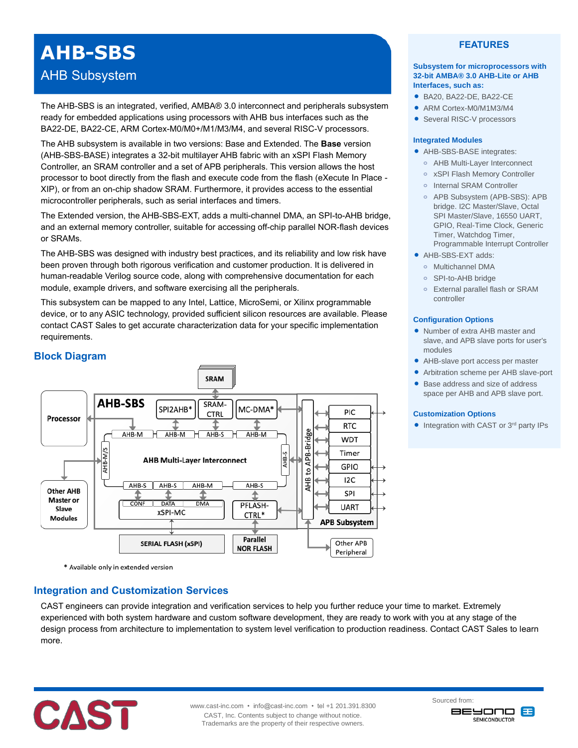# **AHB-SBS**

# AHB Subsystem

The AHB-SBS is an integrated, verified, AMBA® 3.0 interconnect and peripherals subsystem ready for embedded applications using processors with AHB bus interfaces such as the BA22-DE, BA22-CE, ARM Cortex-M0/M0+/M1/M3/M4, and several RISC-V processors.

The AHB subsystem is available in two versions: Base and Extended. The **Base** version (AHB-SBS-BASE) integrates a 32-bit multilayer AHB fabric with an xSPI Flash Memory Controller, an SRAM controller and a set of APB peripherals. This version allows the host processor to boot directly from the flash and execute code from the flash (eXecute In Place - XIP), or from an on-chip shadow SRAM. Furthermore, it provides access to the essential microcontroller peripherals, such as serial interfaces and timers.

The Extended version, the AHB-SBS-EXT, adds a multi-channel DMA, an SPI-to-AHB bridge, and an external memory controller, suitable for accessing off-chip parallel NOR-flash devices or SRAMs.

The AHB-SBS was designed with industry best practices, and its reliability and low risk have been proven through both rigorous verification and customer production. It is delivered in human-readable Verilog source code, along with comprehensive documentation for each module, example drivers, and software exercising all the peripherals.

This subsystem can be mapped to any Intel, Lattice, MicroSemi, or Xilinx programmable device, or to any ASIC technology, provided sufficient silicon resources are available. Please contact CAST Sales to get accurate characterization data for your specific implementation requirements.

# **Block Diagram**



\* Available only in extended version

# **Integration and Customization Services**

CAST engineers can provide integration and verification services to help you further reduce your time to market. Extremely experienced with both system hardware and custom software development, they are ready to work with you at any stage of the design process from architecture to implementation to system level verification to production readiness. Contact CAST Sales to learn more.



## **FEATURES**

#### **Subsystem for microprocessors with 32-bit AMBA® 3.0 AHB-Lite or AHB Interfaces, such as:**

- BA20, BA22-DE, BA22-CE
- ARM Cortex-M0/M1M3/M4
- **Several RISC-V processors**

#### **Integrated Modules**

- AHB-SBS-BASE integrates:
- **o** AHB Multi-Layer Interconnect
- **o** xSPI Flash Memory Controller
- **o** Internal SRAM Controller
- **o** APB Subsystem (APB-SBS): APB bridge. I2C Master/Slave, Octal SPI Master/Slave, 16550 UART, GPIO, Real-Time Clock, Generic Timer, Watchdog Timer, Programmable Interrupt Controller
- AHB-SBS-EXT adds:
	- **o** Multichannel DMA
	- **o** SPI-to-AHB bridge
	- **o** External parallel flash or SRAM controller

### **Configuration Options**

- Number of extra AHB master and slave, and APB slave ports for user's modules
- AHB-slave port access per master
- Arbitration scheme per AHB slave-port
- Base address and size of address space per AHB and APB slave port.

#### **Customization Options**

• Integration with CAST or 3<sup>rd</sup> party IPs